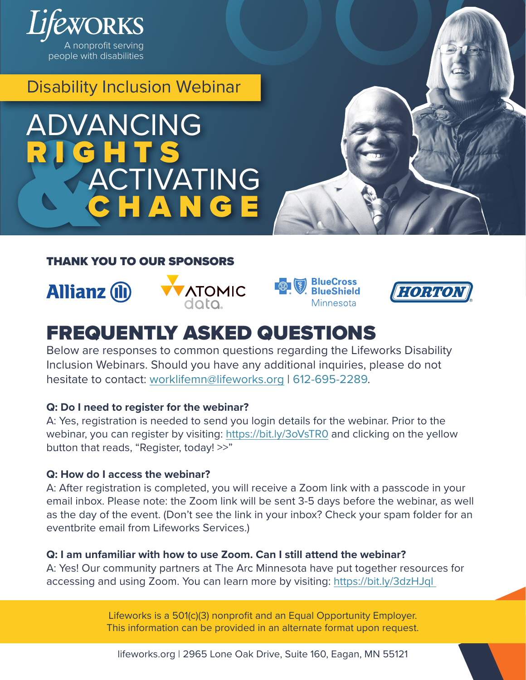

Disability Inclusion Webinar

# RIGHTS<br>ACTIV ADVANCING ACTIVATING

#### THANK YOU TO OUR SPONSORS









# FREQUENTLY ASKED QUESTIONS

Below are responses to common questions regarding the Lifeworks Disability Inclusion Webinars. Should you have any additional inquiries, please do not hesitate to contact: [worklifemn@lifeworks.org](mailto:worklifemn%40lifeworks.org?subject=) | 612-695-2289.

#### **Q: Do I need to register for the webinar?**

A: Yes, registration is needed to send you login details for the webinar. Prior to the webinar, you can register by visiting: <https://bit.ly/3oVsTR0> and clicking on the yellow button that reads, "Register, today! >>"

#### **Q: How do I access the webinar?**

A: After registration is completed, you will receive a Zoom link with a passcode in your email inbox. Please note: the Zoom link will be sent 3-5 days before the webinar, as well as the day of the event. (Don't see the link in your inbox? Check your spam folder for an eventbrite email from Lifeworks Services.)

#### **Q: I am unfamiliar with how to use Zoom. Can I still attend the webinar?**

A: Yes! Our community partners at The Arc Minnesota have put together resources for accessing and using Zoom. You can learn more by visiting: [https://bit.ly/3dzHJql](https://bit.ly/3dzHJql ) 

> Lifeworks is a 501(c)(3) nonprofit and an Equal Opportunity Employer. This information can be provided in an alternate format upon request.